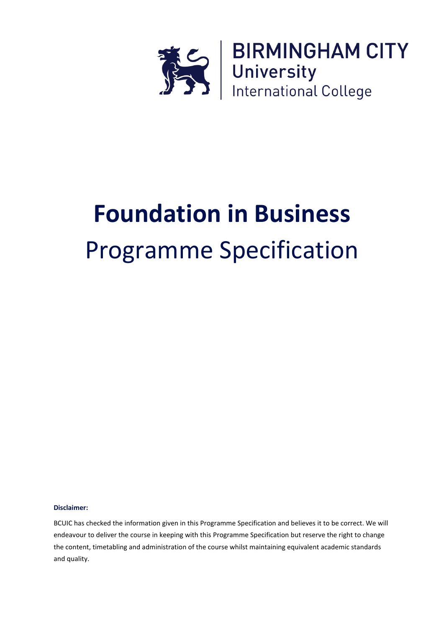

# **Foundation in Business** Programme Specification

#### **Disclaimer:**

BCUIC has checked the information given in this Programme Specification and believes it to be correct. We will endeavour to deliver the course in keeping with this Programme Specification but reserve the right to change the content, timetabling and administration of the course whilst maintaining equivalent academic standards and quality.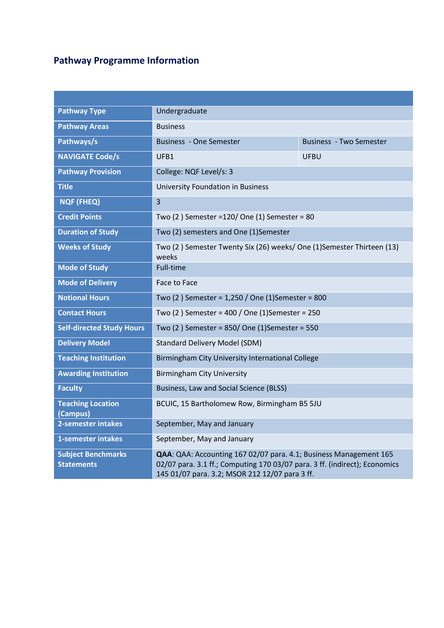# **Pathway Programme Information**

| <b>Pathway Type</b>                            | Undergraduate                                                                                                                                                                                     |                                |  |  |  |
|------------------------------------------------|---------------------------------------------------------------------------------------------------------------------------------------------------------------------------------------------------|--------------------------------|--|--|--|
| <b>Pathway Areas</b>                           | <b>Business</b>                                                                                                                                                                                   |                                |  |  |  |
| Pathways/s                                     | <b>Business - One Semester</b>                                                                                                                                                                    | <b>Business - Two Semester</b> |  |  |  |
| <b>NAVIGATE Code/s</b>                         | UFB1                                                                                                                                                                                              | <b>UFBU</b>                    |  |  |  |
| <b>Pathway Provision</b>                       | College: NQF Level/s: 3                                                                                                                                                                           |                                |  |  |  |
| <b>Title</b>                                   | <b>University Foundation in Business</b>                                                                                                                                                          |                                |  |  |  |
| <b>NQF (FHEQ)</b>                              | $\overline{3}$                                                                                                                                                                                    |                                |  |  |  |
| <b>Credit Points</b>                           | Two (2) Semester = 120/ One (1) Semester = 80                                                                                                                                                     |                                |  |  |  |
| <b>Duration of Study</b>                       | Two (2) semesters and One (1) Semester                                                                                                                                                            |                                |  |  |  |
| <b>Weeks of Study</b>                          | Two (2) Semester Twenty Six (26) weeks/One (1) Semester Thirteen (13)<br>weeks                                                                                                                    |                                |  |  |  |
| <b>Mode of Study</b>                           | Full-time                                                                                                                                                                                         |                                |  |  |  |
| <b>Mode of Delivery</b>                        | Face to Face                                                                                                                                                                                      |                                |  |  |  |
| <b>Notional Hours</b>                          | Two (2) Semester = 1,250 / One (1) Semester = 800                                                                                                                                                 |                                |  |  |  |
| <b>Contact Hours</b>                           | Two (2) Semester = 400 / One (1) Semester = 250                                                                                                                                                   |                                |  |  |  |
| <b>Self-directed Study Hours</b>               | Two (2) Semester = 850/ One (1) Semester = 550                                                                                                                                                    |                                |  |  |  |
| <b>Delivery Model</b>                          | <b>Standard Delivery Model (SDM)</b>                                                                                                                                                              |                                |  |  |  |
| <b>Teaching Institution</b>                    | Birmingham City University International College                                                                                                                                                  |                                |  |  |  |
| <b>Awarding Institution</b>                    | <b>Birmingham City University</b>                                                                                                                                                                 |                                |  |  |  |
| <b>Faculty</b>                                 | Business, Law and Social Science (BLSS)                                                                                                                                                           |                                |  |  |  |
| <b>Teaching Location</b><br>(Campus)           | BCUIC, 15 Bartholomew Row, Birmingham B5 5JU                                                                                                                                                      |                                |  |  |  |
| 2-semester intakes                             | September, May and January                                                                                                                                                                        |                                |  |  |  |
| 1-semester intakes                             | September, May and January                                                                                                                                                                        |                                |  |  |  |
| <b>Subject Benchmarks</b><br><b>Statements</b> | QAA: QAA: Accounting 167 02/07 para. 4.1; Business Management 165<br>02/07 para. 3.1 ff.; Computing 170 03/07 para. 3 ff. (indirect); Economics<br>145 01/07 para. 3.2; MSOR 212 12/07 para 3 ff. |                                |  |  |  |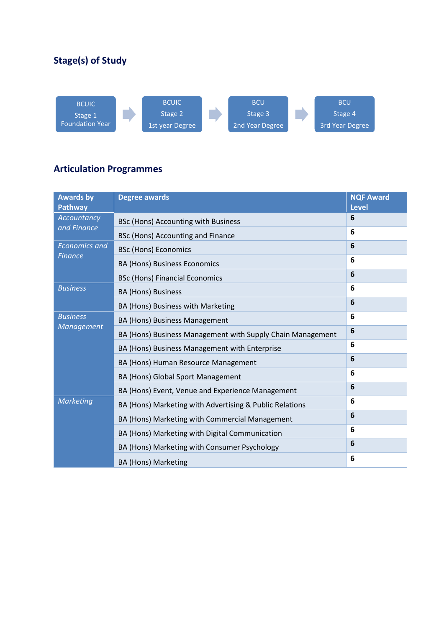## **Stage(s) of Study**



### **Articulation Programmes**

| <b>Awards by</b><br><b>Pathway</b> | <b>Degree awards</b>                                       | <b>NQF Award</b><br><b>Level</b> |
|------------------------------------|------------------------------------------------------------|----------------------------------|
| Accountancy<br>and Finance         | BSc (Hons) Accounting with Business                        | 6                                |
|                                    | BSc (Hons) Accounting and Finance                          | 6                                |
| <b>Economics and</b>               | <b>BSc (Hons) Economics</b>                                | 6                                |
| <b>Finance</b>                     | <b>BA (Hons) Business Economics</b>                        | 6                                |
|                                    | <b>BSc (Hons) Financial Economics</b>                      | 6                                |
| <b>Business</b>                    | <b>BA (Hons) Business</b>                                  | 6                                |
|                                    | BA (Hons) Business with Marketing                          | 6                                |
| <b>Business</b>                    | BA (Hons) Business Management                              | 6                                |
| <b>Management</b>                  | BA (Hons) Business Management with Supply Chain Management | 6                                |
|                                    | BA (Hons) Business Management with Enterprise              | 6                                |
|                                    | BA (Hons) Human Resource Management                        | 6                                |
|                                    | BA (Hons) Global Sport Management                          | 6                                |
|                                    | BA (Hons) Event, Venue and Experience Management           | 6                                |
| <b>Marketing</b>                   | BA (Hons) Marketing with Advertising & Public Relations    | 6                                |
|                                    | BA (Hons) Marketing with Commercial Management             | 6                                |
|                                    | BA (Hons) Marketing with Digital Communication             | 6                                |
|                                    | BA (Hons) Marketing with Consumer Psychology               | 6                                |
|                                    | <b>BA (Hons) Marketing</b>                                 | 6                                |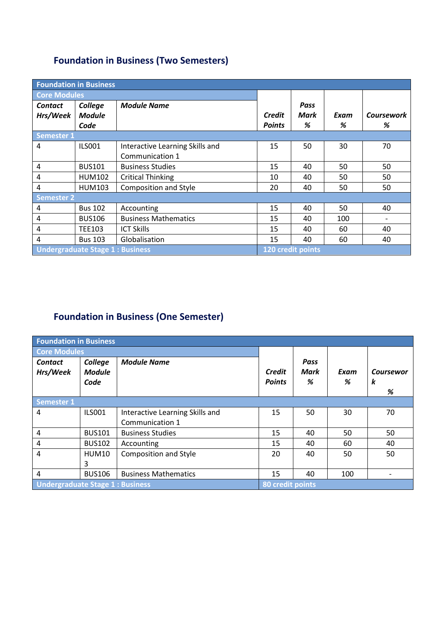## **Foundation in Business (Two Semesters)**

| <b>Foundation in Business</b>          |                |                                 |               |      |      |                   |
|----------------------------------------|----------------|---------------------------------|---------------|------|------|-------------------|
| <b>Core Modules</b>                    |                |                                 |               |      |      |                   |
| <b>Contact</b>                         | College        | <b>Module Name</b>              |               | Pass |      |                   |
| Hrs/Week                               | <b>Module</b>  |                                 | <b>Credit</b> | Mark | Exam | <b>Coursework</b> |
|                                        | Code           |                                 | <b>Points</b> | %    | %    | %                 |
| <b>Semester 1</b>                      |                |                                 |               |      |      |                   |
| 4                                      | <b>ILS001</b>  | Interactive Learning Skills and | 15            | 50   | 30   | 70                |
|                                        |                | Communication 1                 |               |      |      |                   |
| 4                                      | <b>BUS101</b>  | <b>Business Studies</b>         | 15            | 40   | 50   | 50                |
| 4                                      | <b>HUM102</b>  | <b>Critical Thinking</b>        | 10            | 40   | 50   | 50                |
| 4                                      | <b>HUM103</b>  | <b>Composition and Style</b>    | 20            | 40   | 50   | 50                |
| <b>Semester 2</b>                      |                |                                 |               |      |      |                   |
| 4                                      | <b>Bus 102</b> | Accounting                      | 15            | 40   | 50   | 40                |
| 4                                      | <b>BUS106</b>  | <b>Business Mathematics</b>     | 15            | 40   | 100  |                   |
| 4                                      | <b>TEE103</b>  | <b>ICT Skills</b>               | 15            | 40   | 60   | 40                |
| 4                                      | <b>Bus 103</b> | Globalisation                   | 15            | 40   | 60   | 40                |
| <b>Undergraduate Stage 1: Business</b> |                | 120 credit points               |               |      |      |                   |

# **Foundation in Business (One Semester)**

| <b>Foundation in Business</b>          |                                  |                                 |                                |                          |           |                     |  |
|----------------------------------------|----------------------------------|---------------------------------|--------------------------------|--------------------------|-----------|---------------------|--|
| <b>Core Modules</b>                    |                                  |                                 |                                |                          |           |                     |  |
| <b>Contact</b><br>Hrs/Week             | College<br><b>Module</b><br>Code | <b>Module Name</b>              | <b>Credit</b><br><b>Points</b> | <b>Pass</b><br>Mark<br>% | Exam<br>% | Coursewor<br>k<br>% |  |
| <b>Semester 1</b>                      |                                  |                                 |                                |                          |           |                     |  |
| 4                                      | <b>ILS001</b>                    | Interactive Learning Skills and | 15                             | 50                       | 30        | 70                  |  |
|                                        |                                  | Communication 1                 |                                |                          |           |                     |  |
| 4                                      | <b>BUS101</b>                    | <b>Business Studies</b>         | 15                             | 40                       | 50        | 50                  |  |
| 4                                      | <b>BUS102</b>                    | Accounting                      | 15                             | 40                       | 60        | 40                  |  |
| 4                                      | <b>HUM10</b>                     | Composition and Style           | 20                             | 40                       | 50        | 50                  |  |
|                                        | 3                                |                                 |                                |                          |           |                     |  |
| 4                                      | <b>BUS106</b>                    | <b>Business Mathematics</b>     | 15                             | 40                       | 100       | $\overline{a}$      |  |
| <b>Undergraduate Stage 1: Business</b> |                                  | 80 credit points                |                                |                          |           |                     |  |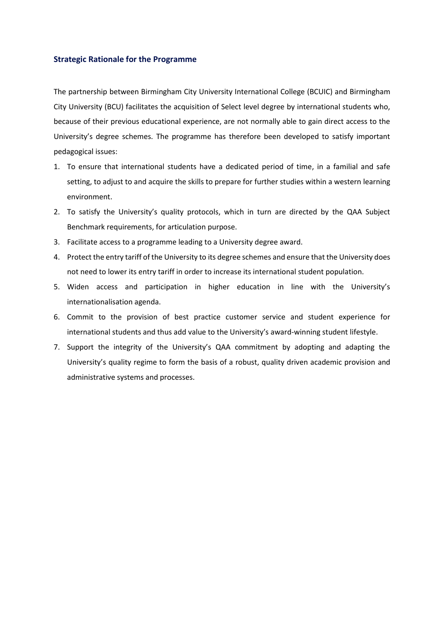#### **Strategic Rationale for the Programme**

The partnership between Birmingham City University International College (BCUIC) and Birmingham City University (BCU) facilitates the acquisition of Select level degree by international students who, because of their previous educational experience, are not normally able to gain direct access to the University's degree schemes. The programme has therefore been developed to satisfy important pedagogical issues:

- 1. To ensure that international students have a dedicated period of time, in a familial and safe setting, to adjust to and acquire the skills to prepare for further studies within a western learning environment.
- 2. To satisfy the University's quality protocols, which in turn are directed by the QAA Subject Benchmark requirements, for articulation purpose.
- 3. Facilitate access to a programme leading to a University degree award.
- 4. Protect the entry tariff of the University to its degree schemes and ensure that the University does not need to lower its entry tariff in order to increase its international student population.
- 5. Widen access and participation in higher education in line with the University's internationalisation agenda.
- 6. Commit to the provision of best practice customer service and student experience for international students and thus add value to the University's award-winning student lifestyle.
- 7. Support the integrity of the University's QAA commitment by adopting and adapting the University's quality regime to form the basis of a robust, quality driven academic provision and administrative systems and processes.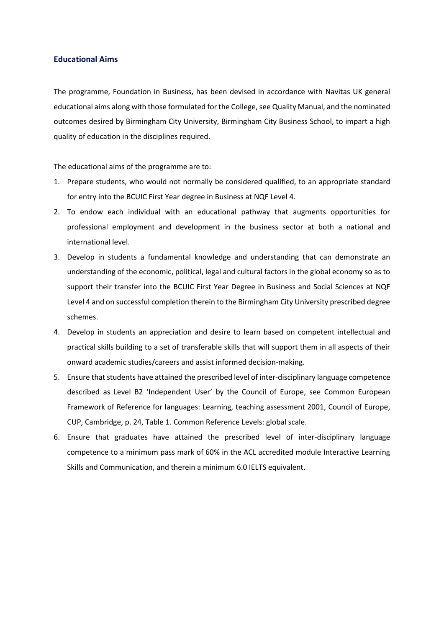#### **Educational Aims**

The programme, Foundation in Business, has been devised in accordance with Navitas UK general educational aims along with those formulated for the College, see Quality Manual, and the nominated outcomes desired by Birmingham City University, Birmingham City Business School, to impart a high quality of education in the disciplines required.

The educational aims of the programme are to:

- 1. Prepare students, who would not normally be considered qualified, to an appropriate standard for entry into the BCUIC First Year degree in Business at NQF Level 4.
- 2. To endow each individual with an educational pathway that augments opportunities for professional employment and development in the business sector at both a national and international level.
- 3. Develop in students a fundamental knowledge and understanding that can demonstrate an understanding of the economic, political, legal and cultural factors in the global economy so as to support their transfer into the BCUIC First Year Degree in Business and Social Sciences at NQF Level 4 and on successful completion therein to the Birmingham City University prescribed degree schemes.
- 4. Develop in students an appreciation and desire to learn based on competent intellectual and practical skills building to a set of transferable skills that will support them in all aspects of their onward academic studies/careers and assist informed decision-making.
- 5. Ensure that students have attained the prescribed level of inter-disciplinary language competence described as Level B2 'Independent User' by the Council of Europe, see Common European Framework of Reference for languages: Learning, teaching assessment 2001, Council of Europe, CUP, Cambridge, p. 24, Table 1. Common Reference Levels: global scale.
- 6. Ensure that graduates have attained the prescribed level of inter-disciplinary language competence to a minimum pass mark of 60% in the ACL accredited module Interactive Learning Skills and Communication, and therein a minimum 6.0 IELTS equivalent.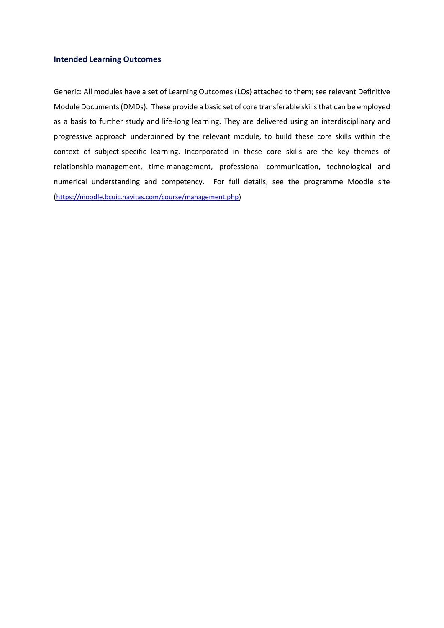#### **Intended Learning Outcomes**

Generic: All modules have a set of Learning Outcomes (LOs) attached to them; see relevant Definitive Module Documents (DMDs). These provide a basic set of core transferable skills that can be employed as a basis to further study and life-long learning. They are delivered using an interdisciplinary and progressive approach underpinned by the relevant module, to build these core skills within the context of subject-specific learning. Incorporated in these core skills are the key themes of relationship-management, time-management, professional communication, technological and numerical understanding and competency. For full details, see the programme Moodle site ([https://moodle.bcuic.navitas.com/course/management.php\)](https://moodle.bcuic.navitas.com/course/management.php)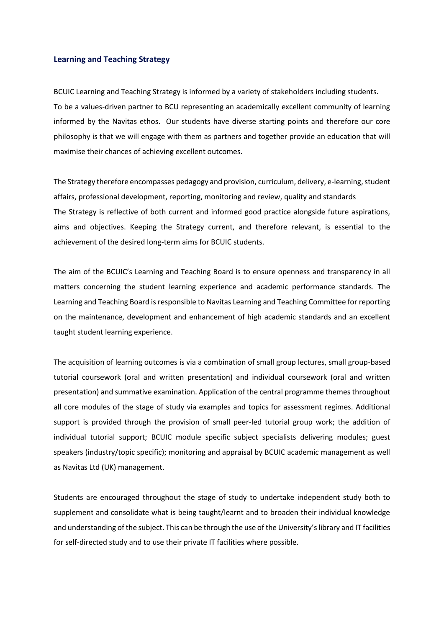#### **Learning and Teaching Strategy**

BCUIC Learning and Teaching Strategy is informed by a variety of stakeholders including students. To be a values-driven partner to BCU representing an academically excellent community of learning informed by the Navitas ethos. Our students have diverse starting points and therefore our core philosophy is that we will engage with them as partners and together provide an education that will maximise their chances of achieving excellent outcomes.

The Strategy therefore encompasses pedagogy and provision, curriculum, delivery, e-learning, student affairs, professional development, reporting, monitoring and review, quality and standards The Strategy is reflective of both current and informed good practice alongside future aspirations, aims and objectives. Keeping the Strategy current, and therefore relevant, is essential to the achievement of the desired long-term aims for BCUIC students.

The aim of the BCUIC's Learning and Teaching Board is to ensure openness and transparency in all matters concerning the student learning experience and academic performance standards. The Learning and Teaching Board is responsible to Navitas Learning and Teaching Committee for reporting on the maintenance, development and enhancement of high academic standards and an excellent taught student learning experience.

The acquisition of learning outcomes is via a combination of small group lectures, small group-based tutorial coursework (oral and written presentation) and individual coursework (oral and written presentation) and summative examination. Application of the central programme themes throughout all core modules of the stage of study via examples and topics for assessment regimes. Additional support is provided through the provision of small peer-led tutorial group work; the addition of individual tutorial support; BCUIC module specific subject specialists delivering modules; guest speakers (industry/topic specific); monitoring and appraisal by BCUIC academic management as well as Navitas Ltd (UK) management.

Students are encouraged throughout the stage of study to undertake independent study both to supplement and consolidate what is being taught/learnt and to broaden their individual knowledge and understanding of the subject. This can be through the use of the University's library and IT facilities for self-directed study and to use their private IT facilities where possible.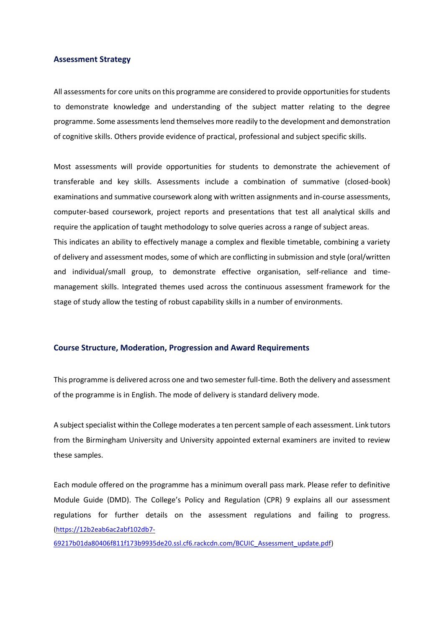#### **Assessment Strategy**

All assessments for core units on this programme are considered to provide opportunities for students to demonstrate knowledge and understanding of the subject matter relating to the degree programme. Some assessments lend themselves more readily to the development and demonstration of cognitive skills. Others provide evidence of practical, professional and subject specific skills.

Most assessments will provide opportunities for students to demonstrate the achievement of transferable and key skills. Assessments include a combination of summative (closed-book) examinations and summative coursework along with written assignments and in-course assessments, computer-based coursework, project reports and presentations that test all analytical skills and require the application of taught methodology to solve queries across a range of subject areas. This indicates an ability to effectively manage a complex and flexible timetable, combining a variety of delivery and assessment modes, some of which are conflicting in submission and style (oral/written and individual/small group, to demonstrate effective organisation, self-reliance and timemanagement skills. Integrated themes used across the continuous assessment framework for the stage of study allow the testing of robust capability skills in a number of environments.

#### **Course Structure, Moderation, Progression and Award Requirements**

This programme is delivered across one and two semester full-time. Both the delivery and assessment of the programme is in English. The mode of delivery is standard delivery mode.

A subject specialist within the College moderates a ten percent sample of each assessment. Link tutors from the Birmingham University and University appointed external examiners are invited to review these samples.

Each module offered on the programme has a minimum overall pass mark. Please refer to definitive Module Guide (DMD). The College's Policy and Regulation (CPR) 9 explains all our assessment regulations for further details on the assessment regulations and failing to progress. [\(https://12b2eab6ac2abf102db7-](https://12b2eab6ac2abf102db7-69217b01da80406f811f173b9935de20.ssl.cf6.rackcdn.com/BCUIC_Assessment_update.pdf)

[69217b01da80406f811f173b9935de20.ssl.cf6.rackcdn.com/BCUIC\\_Assessment\\_update.pdf\)](https://12b2eab6ac2abf102db7-69217b01da80406f811f173b9935de20.ssl.cf6.rackcdn.com/BCUIC_Assessment_update.pdf)